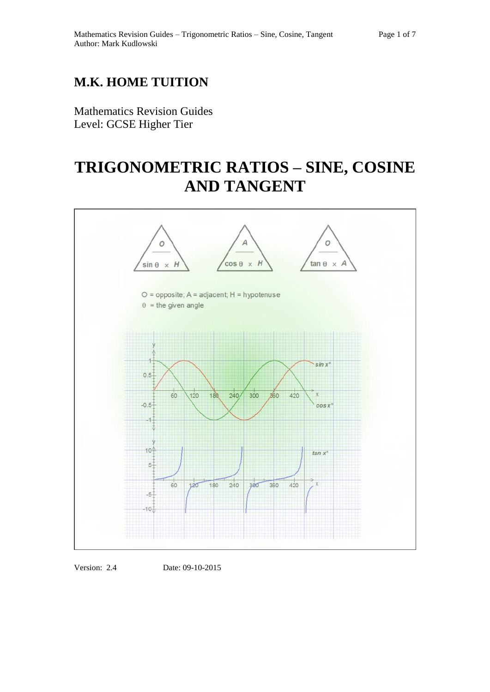## **M.K. HOME TUITION**

Mathematics Revision Guides Level: GCSE Higher Tier

# **TRIGONOMETRIC RATIOS – SINE, COSINE AND TANGENT**



Version: 2.4 Date: 09-10-2015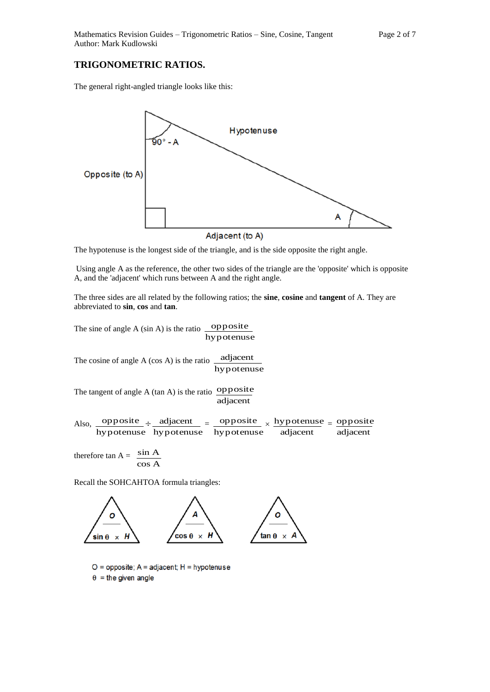### **TRIGONOMETRIC RATIOS.**

The general right-angled triangle looks like this:



Adjacent (to A)

The hypotenuse is the longest side of the triangle, and is the side opposite the right angle.

Using angle A as the reference, the other two sides of the triangle are the 'opposite' which is opposite A, and the 'adjacent' which runs between A and the right angle.

The three sides are all related by the following ratios; the **sine**, **cosine** and **tangent** of A. They are abbreviated to **sin**, **cos** and **tan**.

The sine of angle A  $(\sin A)$  is the ratio <u>opposite</u> hypotenuse

The cosine of angle  $A$  (cos  $A$ ) is the ratio  $\Box$  adjacent hypotenuse

The tangent of angle A  $(tan A)$  is the ratio  $\overrightarrow{opposite}$ adjacent

Also, hypotenuse  $opposite \div$ hypotenuse  $adjacent \_ =$ hypotenuse opposite  $\times$ adjacent hypotenuse  $=$ adjacent opposite

therefore  $\tan A = \frac{\sin A}{\cos A}$ sin A

Recall the SOHCAHTOA formula triangles:



 $O =$  opposite;  $A =$  adjacent;  $H =$  hypotenuse  $\theta$  = the given angle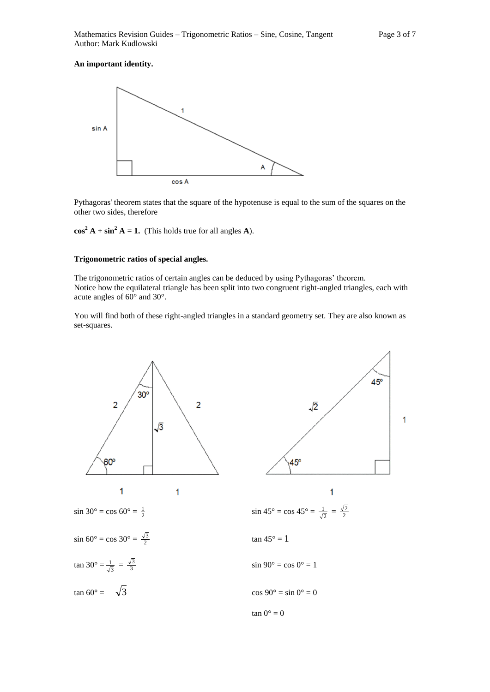#### **An important identity.**



Pythagoras' theorem states that the square of the hypotenuse is equal to the sum of the squares on the other two sides, therefore

 $\cos^2 A + \sin^2 A = 1$ . (This holds true for all angles **A**).

#### **Trigonometric ratios of special angles.**

The trigonometric ratios of certain angles can be deduced by using Pythagoras' theorem. Notice how the equilateral triangle has been split into two congruent right-angled triangles, each with acute angles of 60° and 30°.

You will find both of these right-angled triangles in a standard geometry set. They are also known as set-squares.

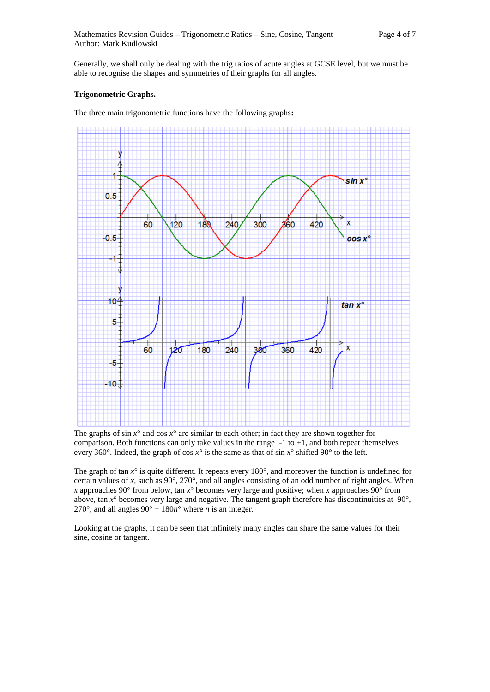Generally, we shall only be dealing with the trig ratios of acute angles at GCSE level, but we must be able to recognise the shapes and symmetries of their graphs for all angles.

#### **Trigonometric Graphs.**

The three main trigonometric functions have the following graphs**:** 



The graphs of sin  $x^\circ$  and cos  $x^\circ$  are similar to each other; in fact they are shown together for comparison. Both functions can only take values in the range -1 to +1, and both repeat themselves every 360°. Indeed, the graph of cos  $x^{\circ}$  is the same as that of sin  $x^{\circ}$  shifted 90° to the left.

The graph of tan *x*° is quite different. It repeats every 180°, and moreover the function is undefined for certain values of *x*, such as  $90^\circ$ ,  $270^\circ$ , and all angles consisting of an odd number of right angles. When *x* approaches 90 $^{\circ}$  from below, tan *x* $^{\circ}$  becomes very large and positive; when *x* approaches 90 $^{\circ}$  from above, tan  $x^{\circ}$  becomes very large and negative. The tangent graph therefore has discontinuities at 90 $^{\circ}$ , 270°, and all angles  $90^\circ + 180n^\circ$  where *n* is an integer.

Looking at the graphs, it can be seen that infinitely many angles can share the same values for their sine, cosine or tangent.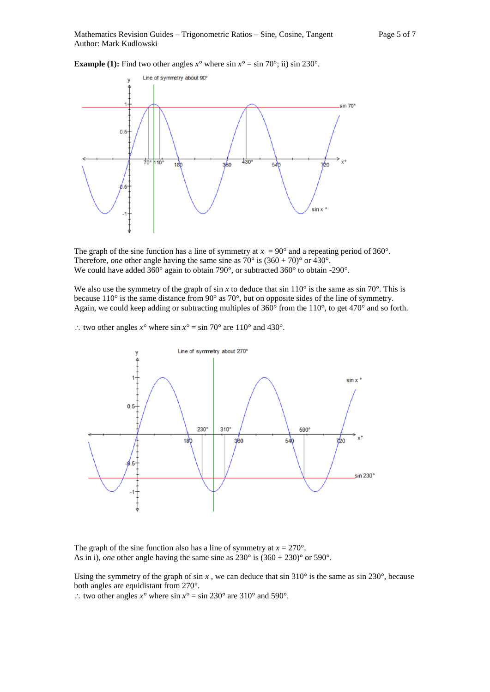**Example (1):** Find two other angles  $x^\circ$  where sin  $x^\circ = \sin 70^\circ$ ; ii) sin 230°.



The graph of the sine function has a line of symmetry at  $x = 90^\circ$  and a repeating period of 360°. Therefore, *one* other angle having the same sine as  $70^{\circ}$  is  $(360 + 70)^{\circ}$  or  $430^{\circ}$ . We could have added 360° again to obtain 790°, or subtracted 360° to obtain -290°.

We also use the symmetry of the graph of sin *x* to deduce that sin 110° is the same as sin 70°. This is because 110° is the same distance from 90° as 70°, but on opposite sides of the line of symmetry. Again, we could keep adding or subtracting multiples of 360° from the 110°, to get 470° and so forth.

: two other angles  $x^{\circ}$  where sin  $x^{\circ} = \sin 70^{\circ}$  are 110° and 430°.



The graph of the sine function also has a line of symmetry at  $x = 270^{\circ}$ . As in i), *one* other angle having the same sine as  $230^\circ$  is  $(360 + 230)^\circ$  or  $590^\circ$ .

Using the symmetry of the graph of sin  $x$ , we can deduce that sin 310 $\degree$  is the same as sin 230 $\degree$ , because both angles are equidistant from 270°.

∴ two other angles  $x^\circ$  where sin  $x^\circ = \sin 230^\circ$  are 310° and 590°.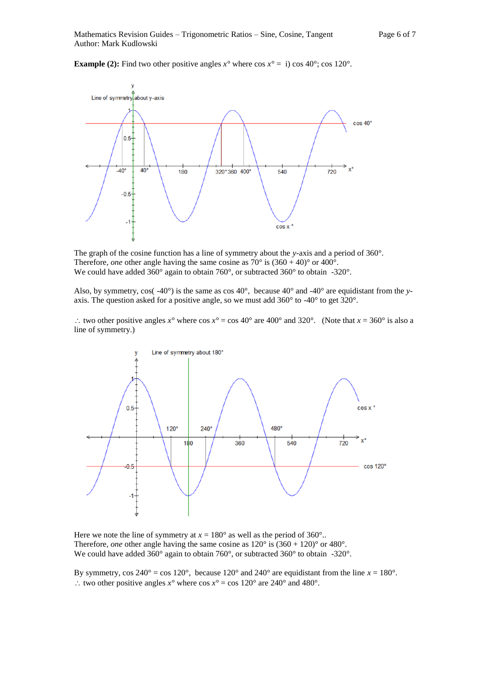**Example (2):** Find two other positive angles  $x^{\circ}$  where  $\cos x^{\circ} = i$ )  $\cos 40^{\circ}$ ;  $\cos 120^{\circ}$ .



The graph of the cosine function has a line of symmetry about the *y-*axis and a period of 360°. Therefore, *one* other angle having the same cosine as  $70^{\circ}$  is  $(360 + 40)^{\circ}$  or  $400^{\circ}$ . We could have added 360° again to obtain 760°, or subtracted 360° to obtain -320°.

Also, by symmetry,  $cos(.40^{\circ})$  is the same as  $cos 40^{\circ}$ , because  $40^{\circ}$  and  $-40^{\circ}$  are equidistant from the *y*axis. The question asked for a positive angle, so we must add 360° to -40° to get 320°.

: two other positive angles  $x^\circ$  where  $\cos x^\circ = \cos 40^\circ$  are  $400^\circ$  and  $320^\circ$ . (Note that  $x = 360^\circ$  is also a line of symmetry.)



Here we note the line of symmetry at  $x = 180^\circ$  as well as the period of 360°.. Therefore, *one* other angle having the same cosine as  $120^{\circ}$  is  $(360 + 120)^{\circ}$  or  $480^{\circ}$ . We could have added 360° again to obtain 760°, or subtracted 360° to obtain -320°.

By symmetry,  $\cos 240^\circ = \cos 120^\circ$ , because  $120^\circ$  and  $240^\circ$  are equidistant from the line  $x = 180^\circ$ . : two other positive angles  $x^{\circ}$  where  $\cos x^{\circ} = \cos 120^{\circ}$  are 240° and 480°.